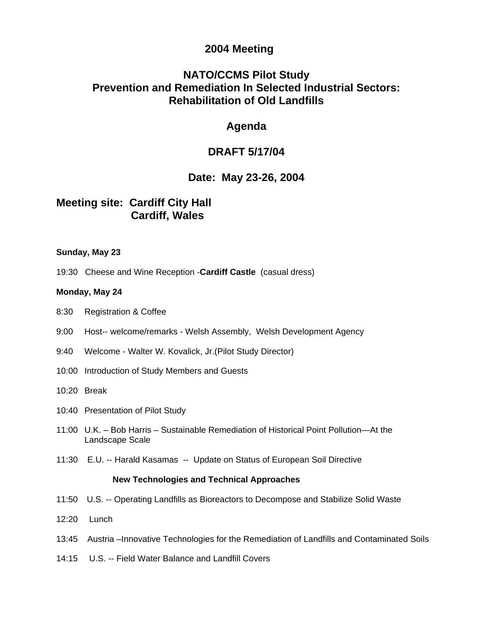### **2004 Meeting**

# **NATO/CCMS Pilot Study Prevention and Remediation In Selected Industrial Sectors: Rehabilitation of Old Landfills**

### **Agenda**

## **DRAFT 5/17/04**

### **Date: May 23-26, 2004**

## **Meeting site: Cardiff City Hall Cardiff, Wales**

#### **Sunday, May 23**

19:30 Cheese and Wine Reception -**Cardiff Castle** (casual dress)

#### **Monday, May 24**

- 8:30 Registration & Coffee
- 9:00 Host-- welcome/remarks Welsh Assembly, Welsh Development Agency
- 9:40 Welcome Walter W. Kovalick, Jr.(Pilot Study Director)
- 10:00 Introduction of Study Members and Guests
- 10:20 Break
- 10:40 Presentation of Pilot Study
- 11:00 U.K. Bob Harris Sustainable Remediation of Historical Point Pollution—At the Landscape Scale
- 11:30 E.U. -- Harald Kasamas -- Update on Status of European Soil Directive

#### **New Technologies and Technical Approaches**

- 11:50 U.S. -- Operating Landfills as Bioreactors to Decompose and Stabilize Solid Waste
- 12:20 Lunch
- 13:45 Austria –Innovative Technologies for the Remediation of Landfills and Contaminated Soils
- 14:15 U.S. -- Field Water Balance and Landfill Covers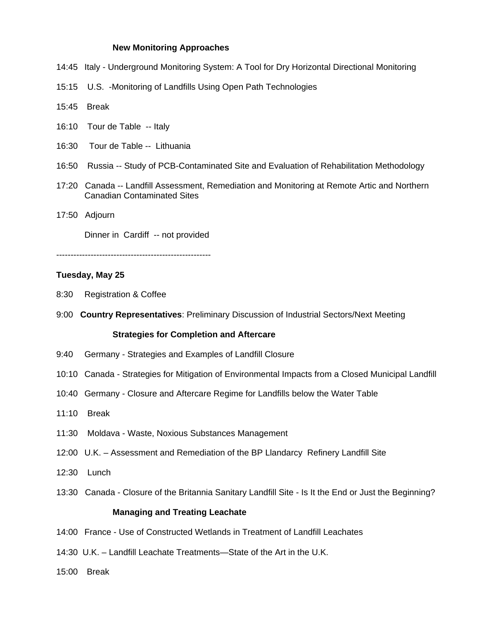#### **New Monitoring Approaches**

- 14:45 Italy Underground Monitoring System: A Tool for Dry Horizontal Directional Monitoring
- 15:15 U.S. -Monitoring of Landfills Using Open Path Technologies
- 15:45 Break
- 16:10 Tour de Table -- Italy
- 16:30 Tour de Table -- Lithuania
- 16:50 Russia -- Study of PCB-Contaminated Site and Evaluation of Rehabilitation Methodology
- 17:20 Canada -- Landfill Assessment, Remediation and Monitoring at Remote Artic and Northern Canadian Contaminated Sites
- 17:50 Adjourn

Dinner in Cardiff -- not provided

------------------------------------------------------

#### **Tuesday, May 25**

- 8:30 Registration & Coffee
- 9:00 **Country Representatives**: Preliminary Discussion of Industrial Sectors/Next Meeting

#### **Strategies for Completion and Aftercare**

- 9:40 Germany Strategies and Examples of Landfill Closure
- 10:10 Canada Strategies for Mitigation of Environmental Impacts from a Closed Municipal Landfill
- 10:40 Germany Closure and Aftercare Regime for Landfills below the Water Table
- 11:10 Break
- 11:30 Moldava Waste, Noxious Substances Management
- 12:00 U.K. Assessment and Remediation of the BP Llandarcy Refinery Landfill Site
- 12:30 Lunch
- 13:30 Canada Closure of the Britannia Sanitary Landfill Site Is It the End or Just the Beginning?

#### **Managing and Treating Leachate**

- 14:00 France Use of Constructed Wetlands in Treatment of Landfill Leachates
- 14:30 U.K. Landfill Leachate Treatments—State of the Art in the U.K.
- 15:00 Break